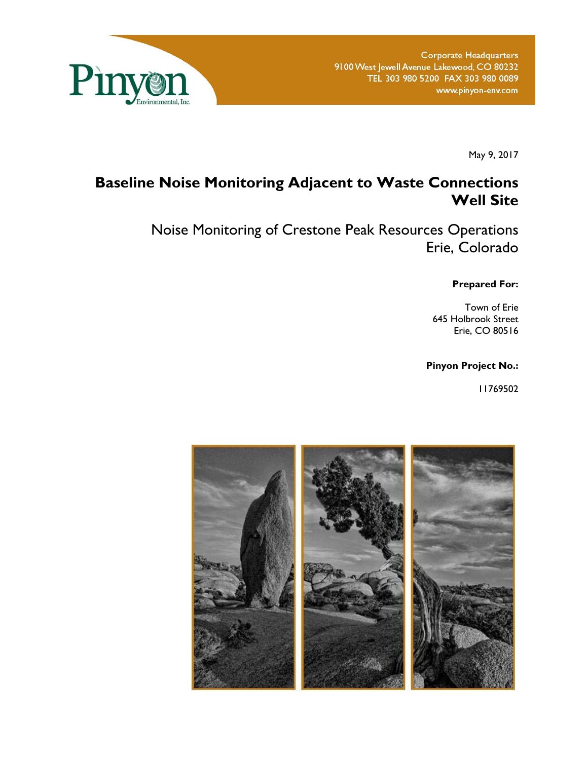

May 9, 2017

# **Baseline Noise Monitoring Adjacent to Waste Connections Well Site**

Noise Monitoring of Crestone Peak Resources Operations Erie, Colorado

**Prepared For:** 

Town of Erie 645 Holbrook Street Erie, CO 80516

**Pinyon Project No.:** 

11769502

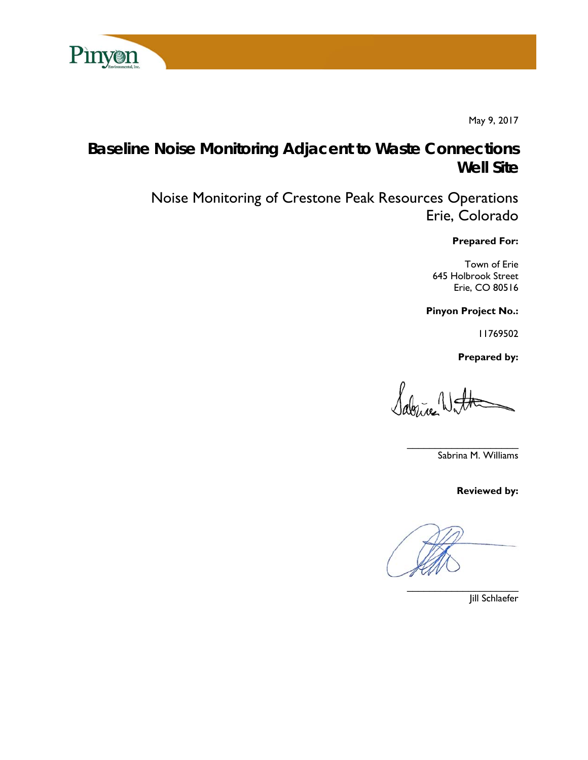

May 9, 2017

# **Baseline Noise Monitoring Adjacent to Waste Connections Well Site**

Noise Monitoring of Crestone Peak Resources Operations Erie, Colorado

**Prepared For:** 

Town of Erie 645 Holbrook Street Erie, CO 80516

**Pinyon Project No.:** 

11769502

 **Prepared by:** 

*Agloric* Watt

Sabrina M. Williams

**Reviewed by:** 

 $\overline{\phantom{a}}$ 

Jill Schlaefer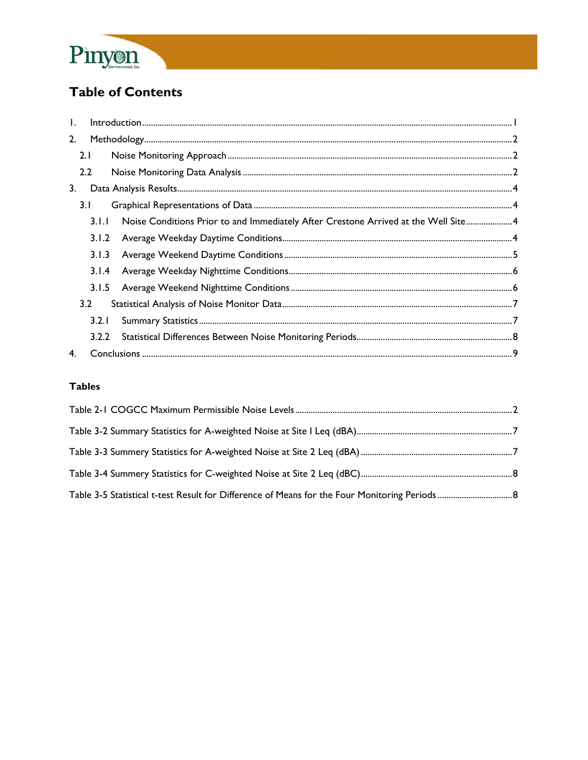

# **Table of Contents**

| $\mathbf{L}$ |                  | $\small \textsf{Introduction} \textcolor{red}{.} \textcolor{red}{.} \textcolor{red}{.} \textcolor{red}{.} \textcolor{red}{.} \textcolor{red}{.} \textcolor{red}{.} \textcolor{red}{.} \textcolor{red}{.} \textcolor{red}{.} \textcolor{red}{.} \textcolor{red}{.} \textcolor{red}{.} \textcolor{red}{.} \textcolor{red}{.} \textcolor{red}{.} \textcolor{red}{.} \textcolor{red}{.} \textcolor{red}{.} \textcolor{red}{.} \textcolor{red}{.} \textcolor{red}{.} \textcolor{red}{.} \textcolor{red}{.} \textcolor{red}{.} \textcolor{red}{.} \textcolor{$ |  |
|--------------|------------------|----------------------------------------------------------------------------------------------------------------------------------------------------------------------------------------------------------------------------------------------------------------------------------------------------------------------------------------------------------------------------------------------------------------------------------------------------------------------------------------------------------------------------------------------------------|--|
| 2.           |                  |                                                                                                                                                                                                                                                                                                                                                                                                                                                                                                                                                          |  |
|              | 2.1              |                                                                                                                                                                                                                                                                                                                                                                                                                                                                                                                                                          |  |
|              | $2.2\phantom{0}$ |                                                                                                                                                                                                                                                                                                                                                                                                                                                                                                                                                          |  |
| 3.           |                  |                                                                                                                                                                                                                                                                                                                                                                                                                                                                                                                                                          |  |
|              | 3.1              |                                                                                                                                                                                                                                                                                                                                                                                                                                                                                                                                                          |  |
|              | 3.1.1            | Noise Conditions Prior to and Immediately After Crestone Arrived at the Well Site 4                                                                                                                                                                                                                                                                                                                                                                                                                                                                      |  |
|              | 3.1.2            |                                                                                                                                                                                                                                                                                                                                                                                                                                                                                                                                                          |  |
|              | 3.1.3            |                                                                                                                                                                                                                                                                                                                                                                                                                                                                                                                                                          |  |
|              | 3.1.4            |                                                                                                                                                                                                                                                                                                                                                                                                                                                                                                                                                          |  |
|              | 3.1.5            |                                                                                                                                                                                                                                                                                                                                                                                                                                                                                                                                                          |  |
|              | 3.2              |                                                                                                                                                                                                                                                                                                                                                                                                                                                                                                                                                          |  |
|              | 3.2.1            |                                                                                                                                                                                                                                                                                                                                                                                                                                                                                                                                                          |  |
|              | 3.2.2            |                                                                                                                                                                                                                                                                                                                                                                                                                                                                                                                                                          |  |
| 4.           |                  |                                                                                                                                                                                                                                                                                                                                                                                                                                                                                                                                                          |  |

## **Tables**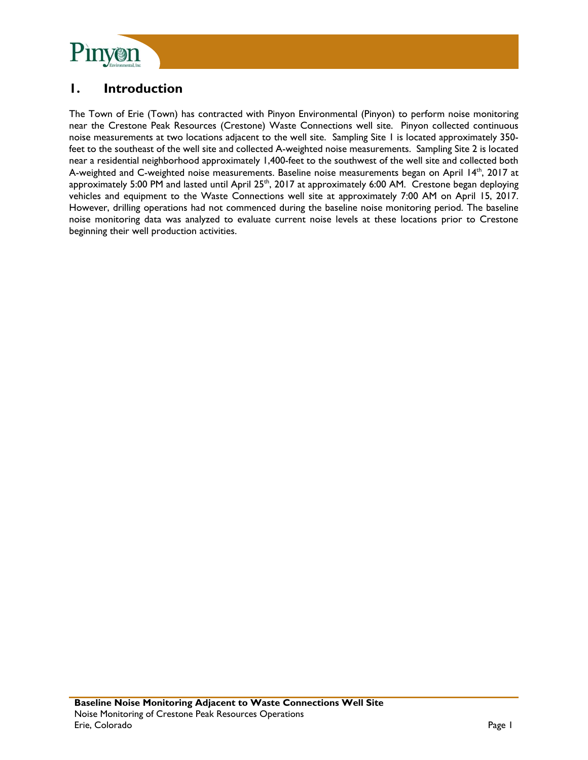

# **1. Introduction**

The Town of Erie (Town) has contracted with Pinyon Environmental (Pinyon) to perform noise monitoring near the Crestone Peak Resources (Crestone) Waste Connections well site. Pinyon collected continuous noise measurements at two locations adjacent to the well site. Sampling Site 1 is located approximately 350 feet to the southeast of the well site and collected A-weighted noise measurements. Sampling Site 2 is located near a residential neighborhood approximately 1,400-feet to the southwest of the well site and collected both A-weighted and C-weighted noise measurements. Baseline noise measurements began on April  $14<sup>th</sup>$ , 2017 at approximately 5:00 PM and lasted until April 25<sup>th</sup>, 2017 at approximately 6:00 AM. Crestone began deploying vehicles and equipment to the Waste Connections well site at approximately 7:00 AM on April 15, 2017. However, drilling operations had not commenced during the baseline noise monitoring period. The baseline noise monitoring data was analyzed to evaluate current noise levels at these locations prior to Crestone beginning their well production activities.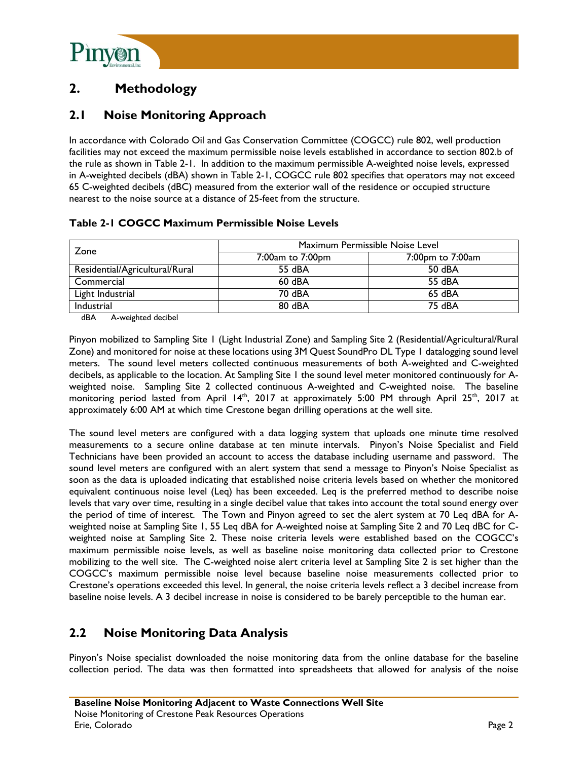

# **2. Methodology**

# **2.1 Noise Monitoring Approach**

In accordance with Colorado Oil and Gas Conservation Committee (COGCC) rule 802, well production facilities may not exceed the maximum permissible noise levels established in accordance to section 802.b of the rule as shown in Table 2-1. In addition to the maximum permissible A-weighted noise levels, expressed in A-weighted decibels (dBA) shown in Table 2-1, COGCC rule 802 specifies that operators may not exceed 65 C-weighted decibels (dBC) measured from the exterior wall of the residence or occupied structure nearest to the noise source at a distance of 25-feet from the structure.

|  | Table 2-1 COGCC Maximum Permissible Noise Levels |  |
|--|--------------------------------------------------|--|
|  |                                                  |  |

| Zone                           | Maximum Permissible Noise Level |                  |  |  |
|--------------------------------|---------------------------------|------------------|--|--|
|                                | 7:00am to 7:00pm                | 7:00pm to 7:00am |  |  |
| Residential/Agricultural/Rural | 55 dBA                          | 50 dBA           |  |  |
| Commercial                     | $60$ dBA                        | 55 dBA           |  |  |
| Light Industrial               | 70 dBA                          | 65 dBA           |  |  |
| Industrial<br>$\sim$           | 80 dBA                          | 75 dBA           |  |  |

dBA A-weighted decibel

Pinyon mobilized to Sampling Site 1 (Light Industrial Zone) and Sampling Site 2 (Residential/Agricultural/Rural Zone) and monitored for noise at these locations using 3M Quest SoundPro DL Type 1 datalogging sound level meters. The sound level meters collected continuous measurements of both A-weighted and C-weighted decibels, as applicable to the location. At Sampling Site 1 the sound level meter monitored continuously for Aweighted noise. Sampling Site 2 collected continuous A-weighted and C-weighted noise. The baseline monitoring period lasted from April 14<sup>th</sup>, 2017 at approximately 5:00 PM through April 25<sup>th</sup>, 2017 at approximately 6:00 AM at which time Crestone began drilling operations at the well site.

The sound level meters are configured with a data logging system that uploads one minute time resolved measurements to a secure online database at ten minute intervals. Pinyon's Noise Specialist and Field Technicians have been provided an account to access the database including username and password. The sound level meters are configured with an alert system that send a message to Pinyon's Noise Specialist as soon as the data is uploaded indicating that established noise criteria levels based on whether the monitored equivalent continuous noise level (Leq) has been exceeded. Leq is the preferred method to describe noise levels that vary over time, resulting in a single decibel value that takes into account the total sound energy over the period of time of interest. The Town and Pinyon agreed to set the alert system at 70 Leq dBA for Aweighted noise at Sampling Site 1, 55 Leq dBA for A-weighted noise at Sampling Site 2 and 70 Leq dBC for Cweighted noise at Sampling Site 2. These noise criteria levels were established based on the COGCC's maximum permissible noise levels, as well as baseline noise monitoring data collected prior to Crestone mobilizing to the well site. The C-weighted noise alert criteria level at Sampling Site 2 is set higher than the COGCC's maximum permissible noise level because baseline noise measurements collected prior to Crestone's operations exceeded this level. In general, the noise criteria levels reflect a 3 decibel increase from baseline noise levels. A 3 decibel increase in noise is considered to be barely perceptible to the human ear.

# **2.2 Noise Monitoring Data Analysis**

Pinyon's Noise specialist downloaded the noise monitoring data from the online database for the baseline collection period. The data was then formatted into spreadsheets that allowed for analysis of the noise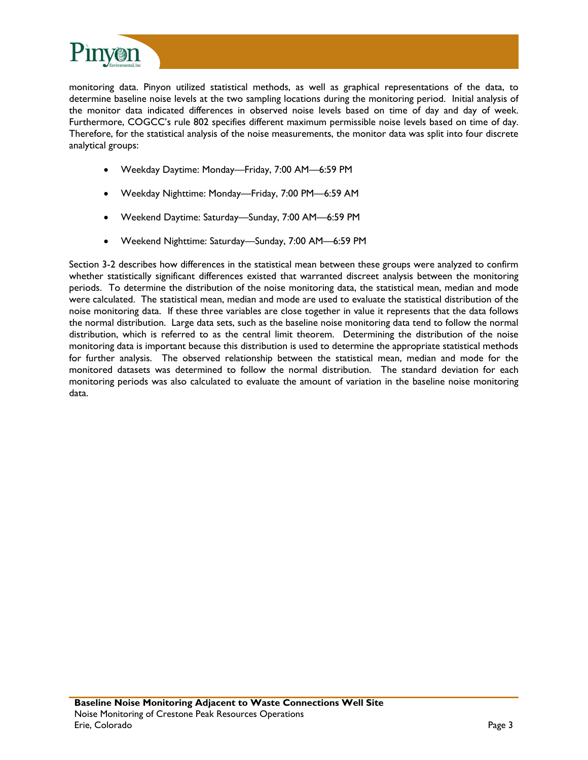

monitoring data. Pinyon utilized statistical methods, as well as graphical representations of the data, to determine baseline noise levels at the two sampling locations during the monitoring period. Initial analysis of the monitor data indicated differences in observed noise levels based on time of day and day of week. Furthermore, COGCC's rule 802 specifies different maximum permissible noise levels based on time of day. Therefore, for the statistical analysis of the noise measurements, the monitor data was split into four discrete analytical groups:

- Weekday Daytime: Monday—Friday, 7:00 AM—6:59 PM
- Weekday Nighttime: Monday—Friday, 7:00 PM—6:59 AM
- Weekend Daytime: Saturday—Sunday, 7:00 AM—6:59 PM
- Weekend Nighttime: Saturday—Sunday, 7:00 AM—6:59 PM

Section 3-2 describes how differences in the statistical mean between these groups were analyzed to confirm whether statistically significant differences existed that warranted discreet analysis between the monitoring periods. To determine the distribution of the noise monitoring data, the statistical mean, median and mode were calculated. The statistical mean, median and mode are used to evaluate the statistical distribution of the noise monitoring data. If these three variables are close together in value it represents that the data follows the normal distribution. Large data sets, such as the baseline noise monitoring data tend to follow the normal distribution, which is referred to as the central limit theorem. Determining the distribution of the noise monitoring data is important because this distribution is used to determine the appropriate statistical methods for further analysis. The observed relationship between the statistical mean, median and mode for the monitored datasets was determined to follow the normal distribution. The standard deviation for each monitoring periods was also calculated to evaluate the amount of variation in the baseline noise monitoring data.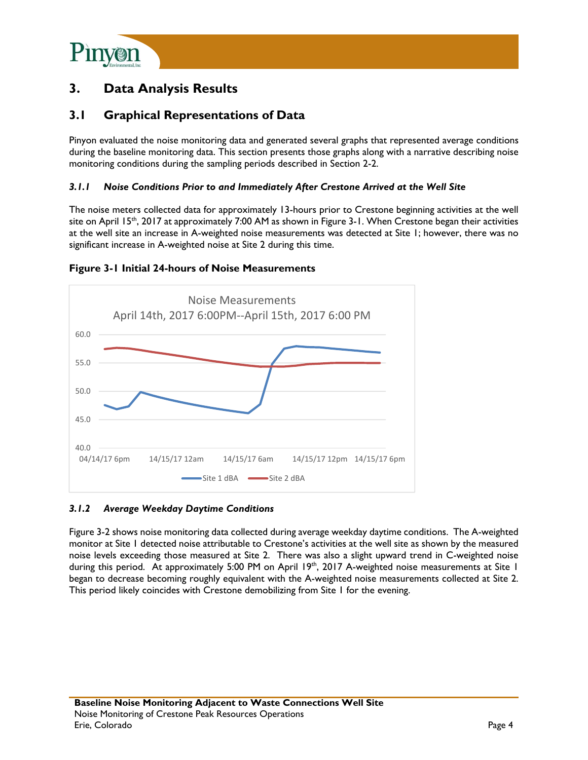

# **3. Data Analysis Results**

## **3.1 Graphical Representations of Data**

Pinyon evaluated the noise monitoring data and generated several graphs that represented average conditions during the baseline monitoring data. This section presents those graphs along with a narrative describing noise monitoring conditions during the sampling periods described in Section 2-2.

#### *3.1.1 Noise Conditions Prior to and Immediately After Crestone Arrived at the Well Site*

The noise meters collected data for approximately 13-hours prior to Crestone beginning activities at the well site on April 15<sup>th</sup>, 2017 at approximately 7:00 AM as shown in Figure 3-1. When Crestone began their activities at the well site an increase in A-weighted noise measurements was detected at Site 1; however, there was no significant increase in A-weighted noise at Site 2 during this time.

#### **Figure 3-1 Initial 24-hours of Noise Measurements**



#### *3.1.2 Average Weekday Daytime Conditions*

Figure 3-2 shows noise monitoring data collected during average weekday daytime conditions. The A-weighted monitor at Site 1 detected noise attributable to Crestone's activities at the well site as shown by the measured noise levels exceeding those measured at Site 2. There was also a slight upward trend in C-weighted noise during this period. At approximately 5:00 PM on April 19<sup>th</sup>, 2017 A-weighted noise measurements at Site 1 began to decrease becoming roughly equivalent with the A-weighted noise measurements collected at Site 2. This period likely coincides with Crestone demobilizing from Site 1 for the evening.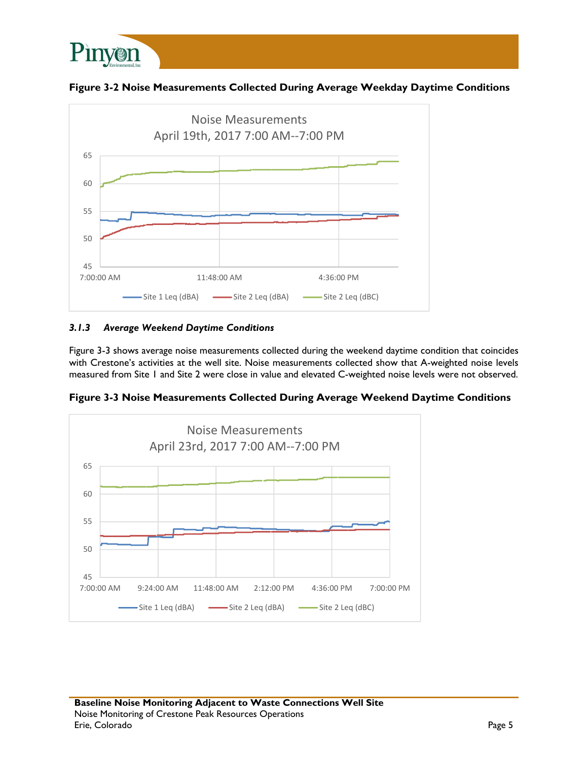

**Figure 3-2 Noise Measurements Collected During Average Weekday Daytime Conditions** 



## *3.1.3 Average Weekend Daytime Conditions*

Figure 3-3 shows average noise measurements collected during the weekend daytime condition that coincides with Crestone's activities at the well site. Noise measurements collected show that A-weighted noise levels measured from Site 1 and Site 2 were close in value and elevated C-weighted noise levels were not observed.

**Figure 3-3 Noise Measurements Collected During Average Weekend Daytime Conditions** 

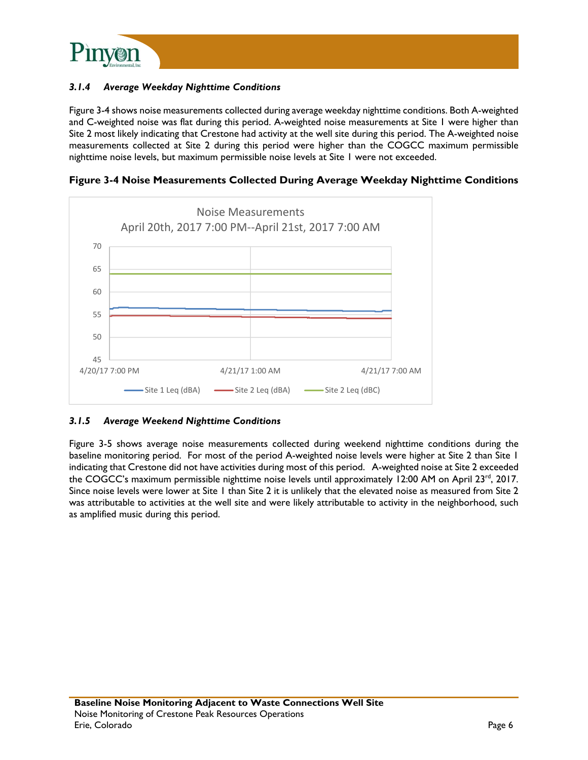

### *3.1.4 Average Weekday Nighttime Conditions*

Figure 3-4 shows noise measurements collected during average weekday nighttime conditions. Both A-weighted and C-weighted noise was flat during this period. A-weighted noise measurements at Site 1 were higher than Site 2 most likely indicating that Crestone had activity at the well site during this period. The A-weighted noise measurements collected at Site 2 during this period were higher than the COGCC maximum permissible nighttime noise levels, but maximum permissible noise levels at Site 1 were not exceeded.



**Figure 3-4 Noise Measurements Collected During Average Weekday Nighttime Conditions** 

#### *3.1.5 Average Weekend Nighttime Conditions*

Figure 3-5 shows average noise measurements collected during weekend nighttime conditions during the baseline monitoring period. For most of the period A-weighted noise levels were higher at Site 2 than Site 1 indicating that Crestone did not have activities during most of this period. A-weighted noise at Site 2 exceeded the COGCC's maximum permissible nighttime noise levels until approximately 12:00 AM on April 23rd, 2017. Since noise levels were lower at Site 1 than Site 2 it is unlikely that the elevated noise as measured from Site 2 was attributable to activities at the well site and were likely attributable to activity in the neighborhood, such as amplified music during this period.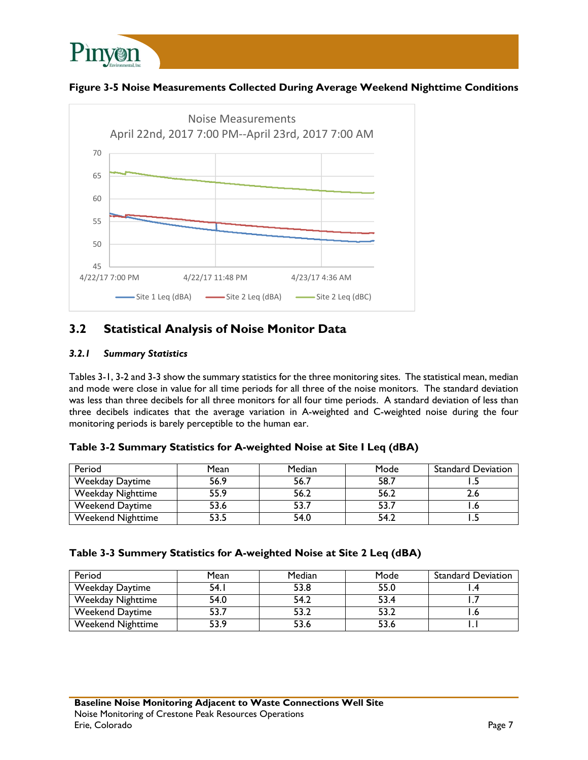

## **Figure 3-5 Noise Measurements Collected During Average Weekend Nighttime Conditions**



# **3.2 Statistical Analysis of Noise Monitor Data**

### *3.2.1 Summary Statistics*

Tables 3-1, 3-2 and 3-3 show the summary statistics for the three monitoring sites. The statistical mean, median and mode were close in value for all time periods for all three of the noise monitors. The standard deviation was less than three decibels for all three monitors for all four time periods. A standard deviation of less than three decibels indicates that the average variation in A-weighted and C-weighted noise during the four monitoring periods is barely perceptible to the human ear.

| Table 3-2 Summary Statistics for A-weighted Noise at Site I Leq (dBA) |  |  |
|-----------------------------------------------------------------------|--|--|
|                                                                       |  |  |

| Period                   | Mean | Median | Mode | <b>Standard Deviation</b> |
|--------------------------|------|--------|------|---------------------------|
| <b>Weekday Daytime</b>   | 56.9 | 56.7   | 58.7 |                           |
| Weekday Nighttime        | 55.9 | 56.2   | 56.2 |                           |
| Weekend Daytime          | 53.6 | 53.7   | 53.  |                           |
| <b>Weekend Nighttime</b> | 53.5 | 54.0   | 54.2 |                           |

### **Table 3-3 Summery Statistics for A-weighted Noise at Site 2 Leq (dBA)**

| Period                   | Mean  | Median | Mode | <b>Standard Deviation</b> |
|--------------------------|-------|--------|------|---------------------------|
| <b>Weekday Daytime</b>   | 54. l | 53.8   | 55.0 |                           |
| Weekday Nighttime        | 54.0  | 54.2   | 53.4 |                           |
| <b>Weekend Daytime</b>   | 53.7  | 53.2   | 53.2 |                           |
| <b>Weekend Nighttime</b> | 53.9  | 53.6   | 53.6 |                           |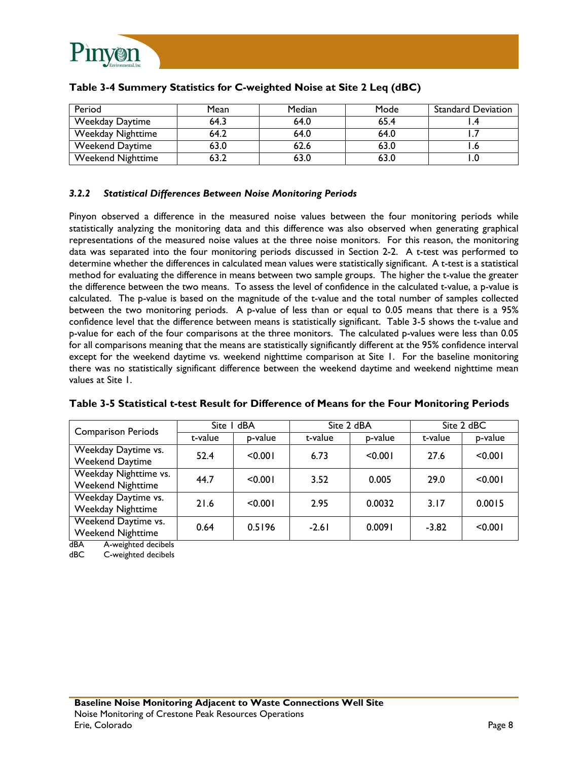

| Period                   | Mean | Median | Mode | <b>Standard Deviation</b> |
|--------------------------|------|--------|------|---------------------------|
| <b>Weekday Daytime</b>   | 64.3 | 64.0   | 65.4 |                           |
| Weekday Nighttime        | 64.2 | 64.0   | 64.0 |                           |
| <b>Weekend Daytime</b>   | 63.0 | 62.6   | 63.0 |                           |
| <b>Weekend Nighttime</b> | 63.∠ | 63.0   | 63.0 |                           |

### **Table 3-4 Summery Statistics for C-weighted Noise at Site 2 Leq (dBC)**

### *3.2.2 Statistical Differences Between Noise Monitoring Periods*

Pinyon observed a difference in the measured noise values between the four monitoring periods while statistically analyzing the monitoring data and this difference was also observed when generating graphical representations of the measured noise values at the three noise monitors. For this reason, the monitoring data was separated into the four monitoring periods discussed in Section 2-2. A t-test was performed to determine whether the differences in calculated mean values were statistically significant. A t-test is a statistical method for evaluating the difference in means between two sample groups. The higher the t-value the greater the difference between the two means. To assess the level of confidence in the calculated t-value, a p-value is calculated. The p-value is based on the magnitude of the t-value and the total number of samples collected between the two monitoring periods. A p-value of less than or equal to 0.05 means that there is a 95% confidence level that the difference between means is statistically significant. Table 3-5 shows the t-value and p-value for each of the four comparisons at the three monitors. The calculated p-values were less than 0.05 for all comparisons meaning that the means are statistically significantly different at the 95% confidence interval except for the weekend daytime vs. weekend nighttime comparison at Site 1. For the baseline monitoring there was no statistically significant difference between the weekend daytime and weekend nighttime mean values at Site 1.

| <b>Comparison Periods</b>                                                               | Site I dBA |         | Site 2 dBA |         | Site 2 dBC |         |
|-----------------------------------------------------------------------------------------|------------|---------|------------|---------|------------|---------|
|                                                                                         | t-value    | p-value | t-value    | p-value | t-value    | p-value |
| Weekday Daytime vs.<br><b>Weekend Daytime</b>                                           | 52.4       | < 0.001 | 6.73       | < 0.001 | 27.6       | < 0.001 |
| Weekday Nighttime vs.<br><b>Weekend Nighttime</b>                                       | 44.7       | < 0.001 | 3.52       | 0.005   | 29.0       | < 0.001 |
| Weekday Daytime vs.<br>Weekday Nighttime                                                | 21.6       | < 0.001 | 2.95       | 0.0032  | 3.17       | 0.0015  |
| Weekend Daytime vs.<br><b>Weekend Nighttime</b><br>and Allenta and a students of the ME | 0.64       | 0.5196  | $-2.61$    | 0.0091  | $-3.82$    | < 0.001 |

#### **Table 3-5 Statistical t-test Result for Difference of Means for the Four Monitoring Periods**

dBA A-weighted decibels

dBC C-weighted decibels